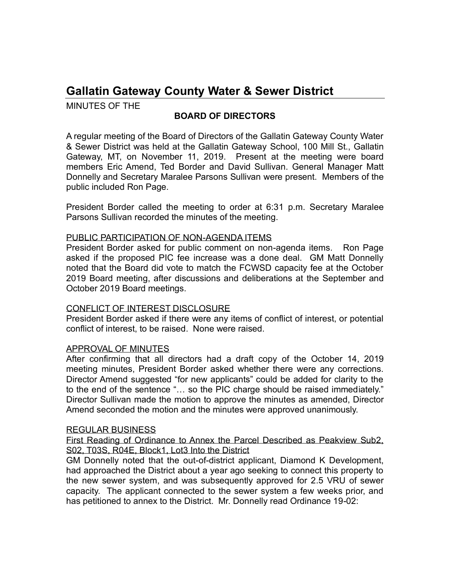# **Gallatin Gateway County Water & Sewer District**

MINUTES OF THE

## **BOARD OF DIRECTORS**

A regular meeting of the Board of Directors of the Gallatin Gateway County Water & Sewer District was held at the Gallatin Gateway School, 100 Mill St., Gallatin Gateway, MT, on November 11, 2019. Present at the meeting were board members Eric Amend, Ted Border and David Sullivan. General Manager Matt Donnelly and Secretary Maralee Parsons Sullivan were present. Members of the public included Ron Page.

President Border called the meeting to order at 6:31 p.m. Secretary Maralee Parsons Sullivan recorded the minutes of the meeting.

### PUBLIC PARTICIPATION OF NON-AGENDA ITEMS

President Border asked for public comment on non-agenda items. Ron Page asked if the proposed PIC fee increase was a done deal. GM Matt Donnelly noted that the Board did vote to match the FCWSD capacity fee at the October 2019 Board meeting, after discussions and deliberations at the September and October 2019 Board meetings.

## CONFLICT OF INTEREST DISCLOSURE

President Border asked if there were any items of conflict of interest, or potential conflict of interest, to be raised. None were raised.

## APPROVAL OF MINUTES

After confirming that all directors had a draft copy of the October 14, 2019 meeting minutes, President Border asked whether there were any corrections. Director Amend suggested "for new applicants" could be added for clarity to the to the end of the sentence " $\ldots$  so the PIC charge should be raised immediately." Director Sullivan made the motion to approve the minutes as amended, Director Amend seconded the motion and the minutes were approved unanimously.

#### REGULAR BUSINESS

First Reading of Ordinance to Annex the Parcel Described as Peakview Sub2, S02, T03S, R04E, Block1, Lot3 Into the District

GM Donnelly noted that the out-of-district applicant, Diamond K Development, had approached the District about a year ago seeking to connect this property to the new sewer system, and was subsequently approved for 2.5 VRU of sewer capacity. The applicant connected to the sewer system a few weeks prior, and has petitioned to annex to the District. Mr. Donnelly read Ordinance 19-02: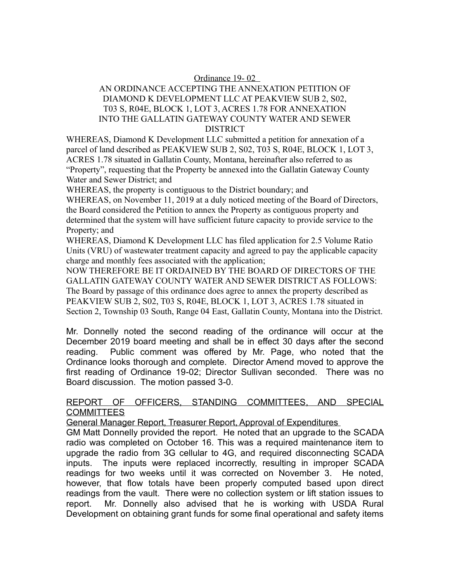#### Ordinance 19- 02

#### AN ORDINANCE ACCEPTING THE ANNEXATION PETITION OF DIAMOND K DEVELOPMENT LLC AT PEAKVIEW SUB 2, S02, T03 S, R04E, BLOCK 1, LOT 3, ACRES 1.78 FOR ANNEXATION INTO THE GALLATIN GATEWAY COUNTY WATER AND SEWER DISTRICT

WHEREAS, Diamond K Development LLC submitted a petition for annexation of a parcel of land described as PEAKVIEW SUB 2, S02, T03 S, R04E, BLOCK 1, LOT 3, ACRES 1.78 situated in Gallatin County, Montana, hereinafter also referred to as "Property", requesting that the Property be annexed into the Gallatin Gateway County Water and Sewer District; and

WHEREAS, the property is contiguous to the District boundary; and

WHEREAS, on November 11, 2019 at a duly noticed meeting of the Board of Directors, the Board considered the Petition to annex the Property as contiguous property and determined that the system will have sufficient future capacity to provide service to the Property; and

WHEREAS, Diamond K Development LLC has filed application for 2.5 Volume Ratio Units (VRU) of wastewater treatment capacity and agreed to pay the applicable capacity charge and monthly fees associated with the application;

NOW THEREFORE BE IT ORDAINED BY THE BOARD OF DIRECTORS OF THE GALLATIN GATEWAY COUNTY WATER AND SEWER DISTRICT AS FOLLOWS: The Board by passage of this ordinance does agree to annex the property described as PEAKVIEW SUB 2, S02, T03 S, R04E, BLOCK 1, LOT 3, ACRES 1.78 situated in Section 2, Township 03 South, Range 04 East, Gallatin County, Montana into the District.

Mr. Donnelly noted the second reading of the ordinance will occur at the December 2019 board meeting and shall be in effect 30 days after the second reading. Public comment was offered by Mr. Page, who noted that the Ordinance looks thorough and complete. Director Amend moved to approve the first reading of Ordinance 19-02; Director Sullivan seconded. There was no Board discussion. The motion passed 3-0.

### REPORT OF OFFICERS, STANDING COMMITTEES, AND SPECIAL **COMMITTEES**

General Manager Report, Treasurer Report, Approval of Expenditures

GM Matt Donnelly provided the report. He noted that an upgrade to the SCADA radio was completed on October 16. This was a required maintenance item to upgrade the radio from 3G cellular to 4G, and required disconnecting SCADA inputs. The inputs were replaced incorrectly, resulting in improper SCADA readings for two weeks until it was corrected on November 3. He noted, however, that flow totals have been properly computed based upon direct readings from the vault. There were no collection system or lift station issues to report. Mr. Donnelly also advised that he is working with USDA Rural Development on obtaining grant funds for some final operational and safety items